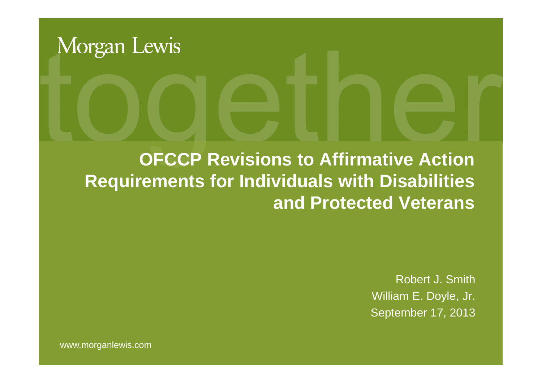

### **OFCCP Revisions to Affirmative Action Requirements for Individuals with Disabilities and Protected Veterans**

Robert J. Smith William E. Doyle, Jr. September 17, 2013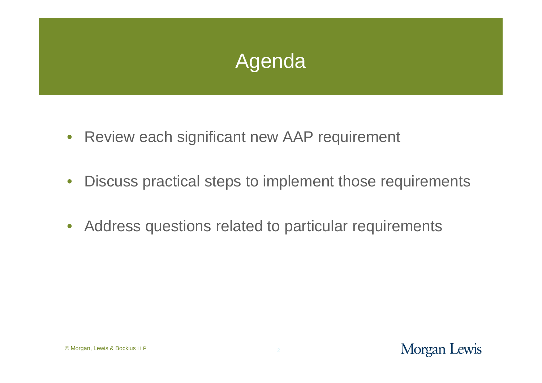

- Review each significant new AAP requirement
- Discuss practical steps to implement those requirements
- Address questions related to particular requirements

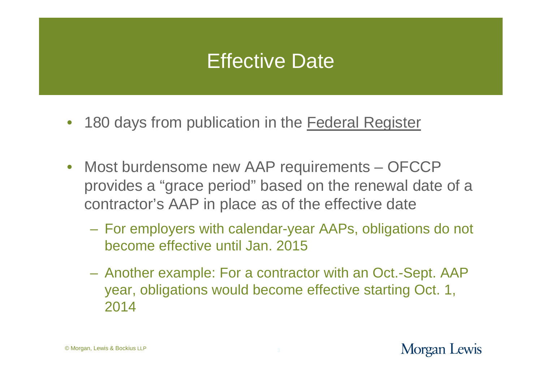### Effective Date

- 180 days from publication in the Federal Register
- Most burdensome new AAP requirements OFCCP provides a "grace period" based on the renewal date of a contractor's AAP in place as of the effective date
	- For employers with calendar-year AAPs, obligations do not become effective until Jan. 2015
	- Another example: For a contractor with an Oct.-Sept. AAP year, obligations would become effective starting Oct. 1, 2014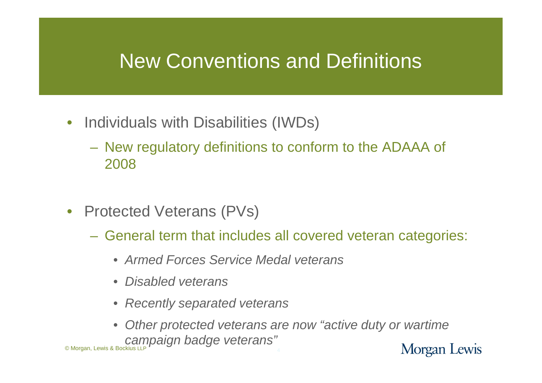### New Conventions and Definitions

- Individuals with Disabilities (IWDs)
	- New regulatory definitions to conform to the ADAAA of 2008
- Protected Veterans (PVs)
	- General term that includes all covered veteran categories:
		- *Armed Forces Service Medal veterans*
		- *Disabled veterans*
		- *Recently separated veterans*
- *Other protected veterans are now "active duty or wartime* © Morgan, Lewis & Bockius LLP *campaign badge veterans"* Morgan Lewis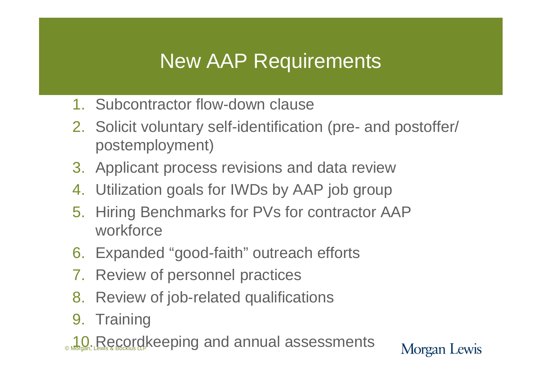### New AAP Requirements

- 1. Subcontractor flow-down clause
- 2. Solicit voluntary self-identification (pre- and postoffer/ postemployment)

- 3. Applicant process revisions and data review
- 4. Utilization goals for IWDs by AAP job group
- 5. Hiring Benchmarks for PVs for contractor AAP workforce
- 6. Expanded "good-faith" outreach efforts
- 7. Review of personnel practices
- 8. Review of job-related qualifications
- 9. Training
- **10. Recordkeeping and annual assessments**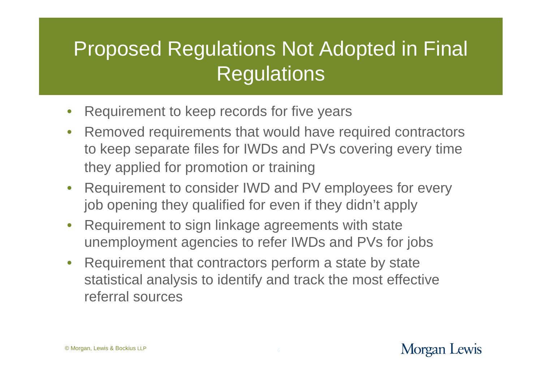### Proposed Regulations Not Adopted in Final **Regulations**

- Requirement to keep records for five years
- Removed requirements that would have required contractors to keep separate files for IWDs and PVs covering every time they applied for promotion or training
- Requirement to consider IWD and PV employees for every job opening they qualified for even if they didn't apply
- Requirement to sign linkage agreements with state unemployment agencies to refer IWDs and PVs for jobs
- Requirement that contractors perform a state by state statistical analysis to identify and track the most effective referral sources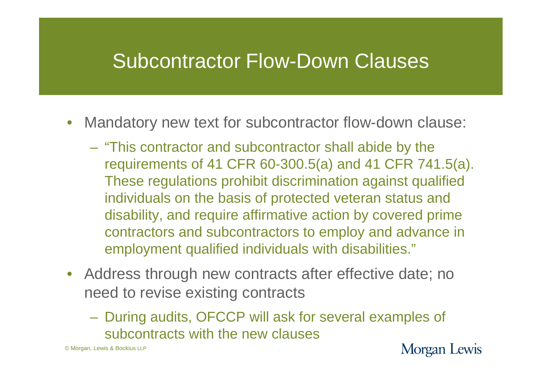### Subcontractor Flow-Down Clauses

- Mandatory new text for subcontractor flow-down clause:
	- "This contractor and subcontractor shall abide by the requirements of 41 CFR 60-300.5(a) and 41 CFR 741.5(a). These regulations prohibit discrimination against qualified individuals on the basis of protected veteran status and disability, and require affirmative action by covered prime contractors and subcontractors to employ and advance in employment qualified individuals with disabilities."
- Address through new contracts after effective date; no need to revise existing contracts
	- During audits, OFCCP will ask for several examples of subcontracts with the new clauses

© Morgan, Lewis & Bockius LLP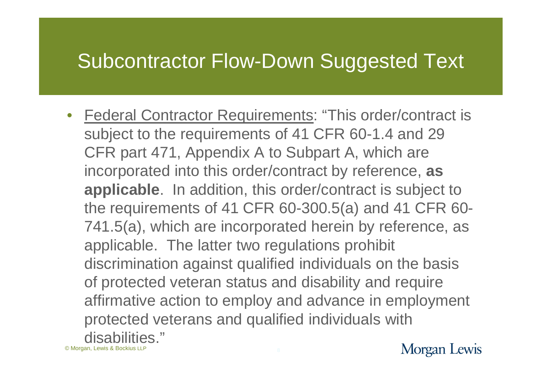### Subcontractor Flow-Down Suggested Text

• Federal Contractor Requirements: "This order/contract is subject to the requirements of 41 CFR 60-1.4 and 29 CFR part 471, Appendix A to Subpart A, which are incorporated into this order/contract by reference, **as applicable**. In addition, this order/contract is subject to the requirements of 41 CFR 60-300.5(a) and 41 CFR 60- 741.5(a), which are incorporated herein by reference, as applicable. The latter two regulations prohibit discrimination against qualified individuals on the basis of protected veteran status and disability and require affirmative action to employ and advance in employment protected veterans and qualified individuals with disabilities."

© Morgan, Lewis & Bockius LLP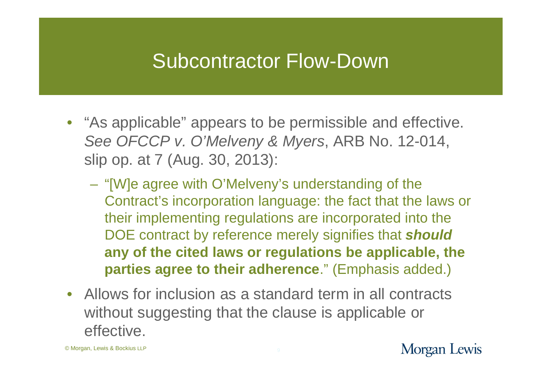### Subcontractor Flow-Down

- "As applicable" appears to be permissible and effective. *See OFCCP v. O'Melveny & Myers*, ARB No. 12-014, slip op. at 7 (Aug. 30, 2013):
	- "[W]e agree with O'Melveny's understanding of the Contract's incorporation language: the fact that the laws or their implementing regulations are incorporated into the DOE contract by reference merely signifies that *should* **any of the cited laws or regulations be applicable, the parties agree to their adherence**." (Emphasis added.)
- Allows for inclusion as a standard term in all contracts without suggesting that the clause is applicable or effective.

© Morgan, Lewis & Bockius LLP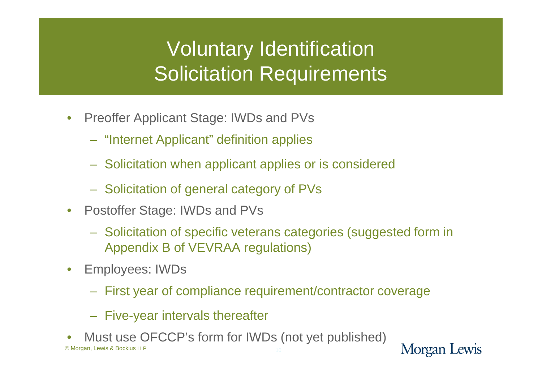## Voluntary Identification Solicitation Requirements

- Preoffer Applicant Stage: IWDs and PVs
	- "Internet Applicant" definition applies
	- Solicitation when applicant applies or is considered
	- Solicitation of general category of PVs
- Postoffer Stage: IWDs and PVs
	- Solicitation of specific veterans categories (suggested form in Appendix B of VEVRAA regulations)
- Employees: IWDs
	- First year of compliance requirement/contractor coverage
	- Five-year intervals thereafter
- © Morgan, Lewis & Bockius LLP Must use OFCCP's form for IWDs (not yet published)

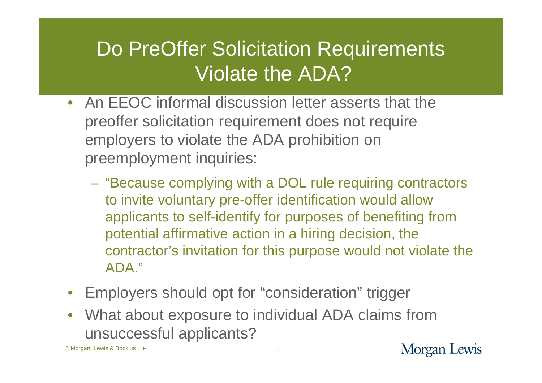### Do PreOffer Solicitation Requirements Violate the ADA?

- An EEOC informal discussion letter asserts that the preoffer solicitation requirement does not require employers to violate the ADA prohibition on preemployment inquiries:
	- "Because complying with a DOL rule requiring contractors to invite voluntary pre-offer identification would allow applicants to self-identify for purposes of benefiting from potential affirmative action in a hiring decision, the contractor's invitation for this purpose would not violate the ADA."
- Employers should opt for "consideration" trigger
- What about exposure to individual ADA claims from unsuccessful applicants?

© Morgan, Lewis & Bockius LLP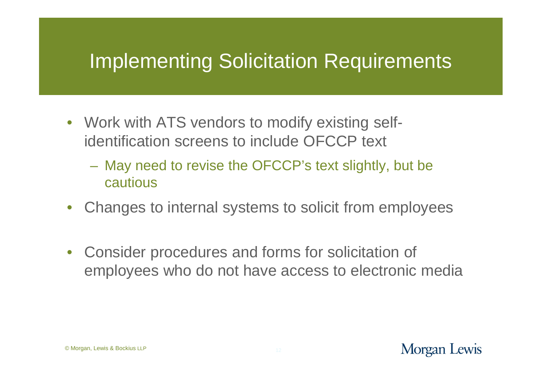### Implementing Solicitation Requirements

- Work with ATS vendors to modify existing selfidentification screens to include OFCCP text
	- May need to revise the OFCCP's text slightly, but be cautious
- Changes to internal systems to solicit from employees
- Consider procedures and forms for solicitation of employees who do not have access to electronic media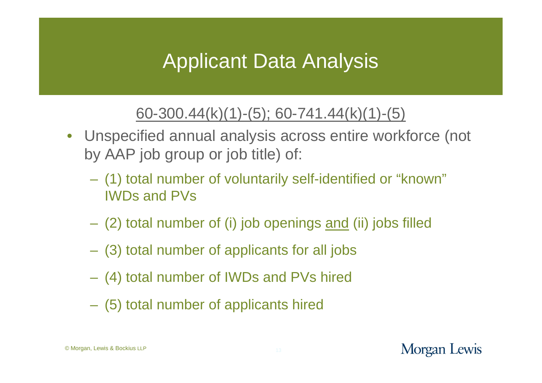### Applicant Data Analysis

### 60-300.44(k)(1)-(5); 60-741.44(k)(1)-(5)

- Unspecified annual analysis across entire workforce (not by AAP job group or job title) of:
	- (1) total number of voluntarily self-identified or "known" IWDs and PVs
	- (2) total number of (i) job openings and (ii) jobs filled
	- (3) total number of applicants for all jobs
	- (4) total number of IWDs and PVs hired
	- (5) total number of applicants hired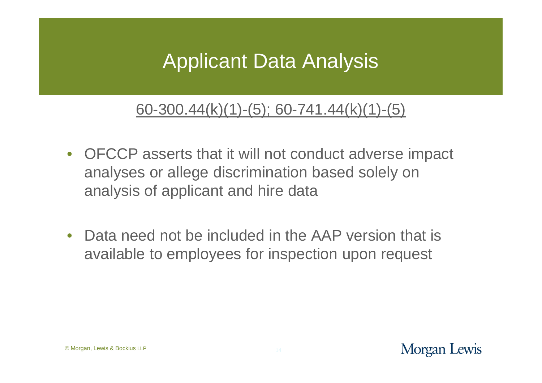### Applicant Data Analysis

#### 60-300.44(k)(1)-(5); 60-741.44(k)(1)-(5)

- OFCCP asserts that it will not conduct adverse impact analyses or allege discrimination based solely on analysis of applicant and hire data
- Data need not be included in the AAP version that is available to employees for inspection upon request

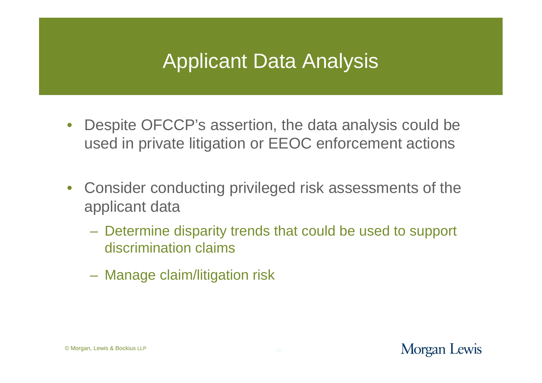### Applicant Data Analysis

- Despite OFCCP's assertion, the data analysis could be used in private litigation or EEOC enforcement actions
- Consider conducting privileged risk assessments of the applicant data
	- Determine disparity trends that could be used to support discrimination claims
	- Manage claim/litigation risk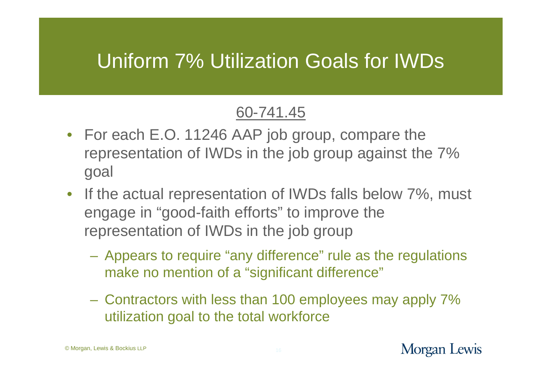### Uniform 7% Utilization Goals for IWDs

#### 60-741.45

- For each E.O. 11246 AAP job group, compare the representation of IWDs in the job group against the 7% goal
- If the actual representation of IWDs falls below 7%, must engage in "good-faith efforts" to improve the representation of IWDs in the job group
	- Appears to require "any difference" rule as the regulations make no mention of a "significant difference"
	- Contractors with less than 100 employees may apply 7% utilization goal to the total workforce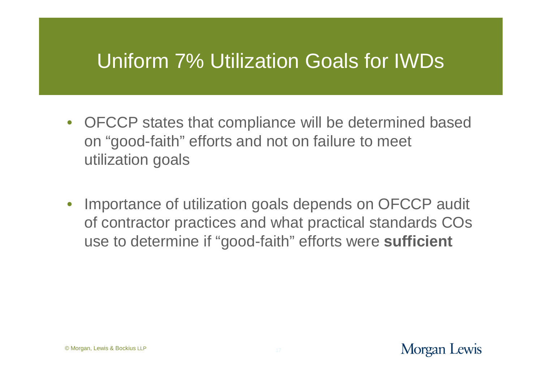### Uniform 7% Utilization Goals for IWDs

- OFCCP states that compliance will be determined based on "good-faith" efforts and not on failure to meet utilization goals
- Importance of utilization goals depends on OFCCP audit of contractor practices and what practical standards COs use to determine if "good-faith" efforts were **sufficient**

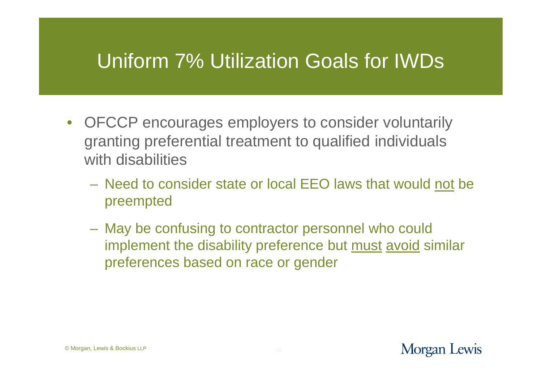### Uniform 7% Utilization Goals for IWDs

- OFCCP encourages employers to consider voluntarily granting preferential treatment to qualified individuals with disabilities
	- Need to consider state or local EEO laws that would not be preempted
	- May be confusing to contractor personnel who could implement the disability preference but must avoid similar preferences based on race or gender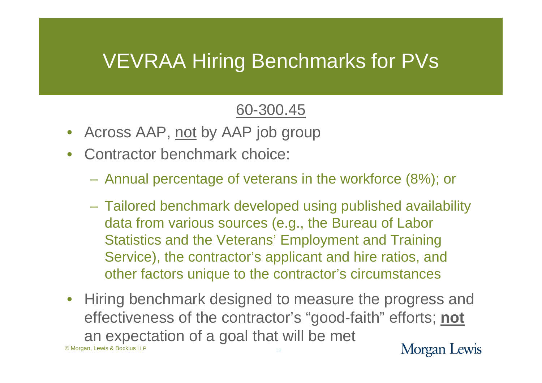### VEVRAA Hiring Benchmarks for PVs

#### 60-300.45

- Across AAP, not by AAP job group
- Contractor benchmark choice:
	- Annual percentage of veterans in the workforce (8%); or
	- Tailored benchmark developed using published availability data from various sources (e.g., the Bureau of Labor Statistics and the Veterans' Employment and Training Service), the contractor's applicant and hire ratios, and other factors unique to the contractor's circumstances
- © Morgan, Lewis & Bockius LLP • Hiring benchmark designed to measure the progress and effectiveness of the contractor's "good-faith" efforts; **not** an expectation of a goal that will be met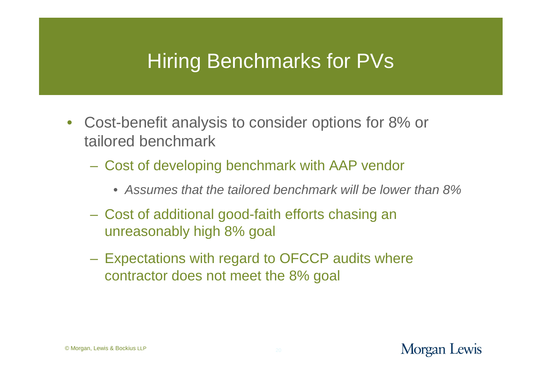### Hiring Benchmarks for PVs

- Cost-benefit analysis to consider options for 8% or tailored benchmark
	- Cost of developing benchmark with AAP vendor
		- *Assumes that the tailored benchmark will be lower than 8%*
	- Cost of additional good-faith efforts chasing an unreasonably high 8% goal
	- Expectations with regard to OFCCP audits where contractor does not meet the 8% goal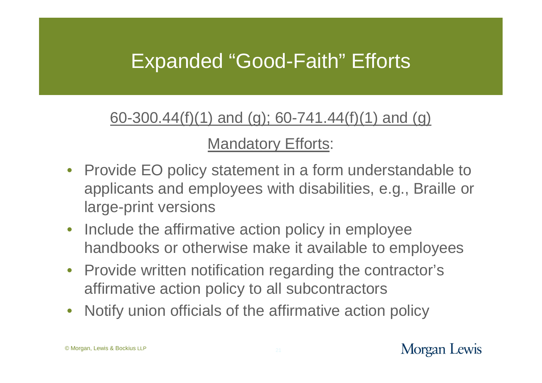### Expanded "Good-Faith" Efforts

#### 60-300.44(f)(1) and (g); 60-741.44(f)(1) and (g)

#### Mandatory Efforts:

- Provide EO policy statement in a form understandable to applicants and employees with disabilities, e.g., Braille or large-print versions
- Include the affirmative action policy in employee handbooks or otherwise make it available to employees
- Provide written notification regarding the contractor's affirmative action policy to all subcontractors
- Notify union officials of the affirmative action policy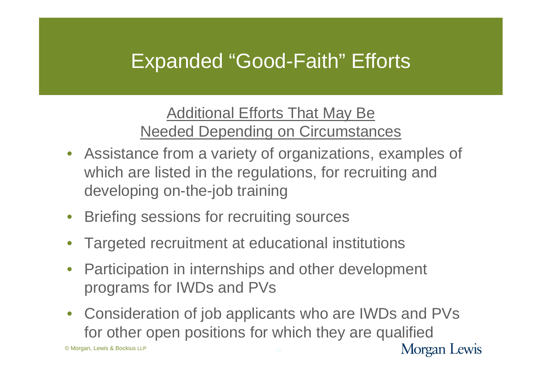### Expanded "Good-Faith" Efforts

#### Additional Efforts That May Be Needed Depending on Circumstances

- Assistance from a variety of organizations, examples of which are listed in the regulations, for recruiting and developing on-the-job training
- Briefing sessions for recruiting sources
- Targeted recruitment at educational institutions
- Participation in internships and other development programs for IWDs and PVs
- Consideration of job applicants who are IWDs and PVs for other open positions for which they are qualified

© Morgan, Lewis & Bockius LLP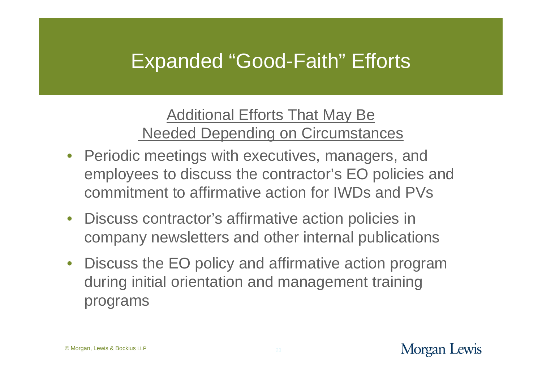### Expanded "Good-Faith" Efforts

Additional Efforts That May Be Needed Depending on Circumstances

- Periodic meetings with executives, managers, and employees to discuss the contractor's EO policies and commitment to affirmative action for IWDs and PVs
- Discuss contractor's affirmative action policies in company newsletters and other internal publications
- Discuss the EO policy and affirmative action program during initial orientation and management training programs

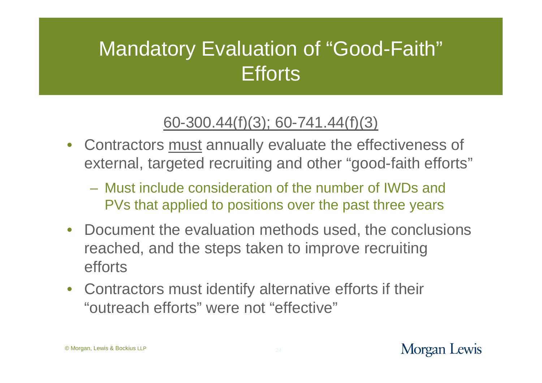### Mandatory Evaluation of "Good-Faith" **Efforts**

### 60-300.44(f)(3); 60-741.44(f)(3)

- Contractors must annually evaluate the effectiveness of external, targeted recruiting and other "good-faith efforts"
	- Must include consideration of the number of IWDs and PVs that applied to positions over the past three years
- Document the evaluation methods used, the conclusions reached, and the steps taken to improve recruiting efforts
- Contractors must identify alternative efforts if their "outreach efforts" were not "effective"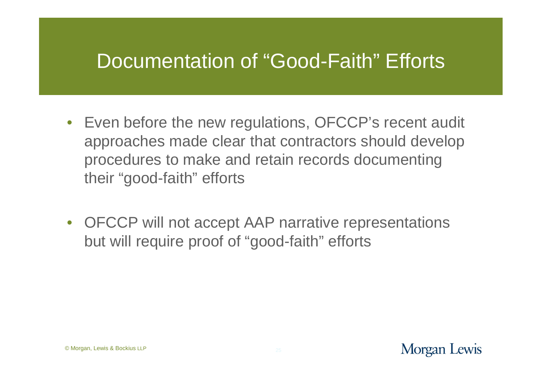### Documentation of "Good-Faith" Efforts

- Even before the new regulations, OFCCP's recent audit approaches made clear that contractors should develop procedures to make and retain records documenting their "good-faith" efforts
- OFCCP will not accept AAP narrative representations but will require proof of "good-faith" efforts

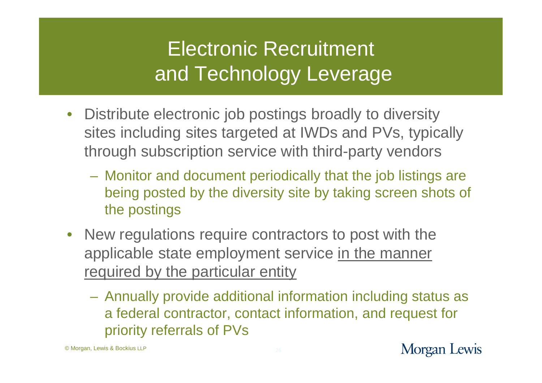# Electronic Recruitment and Technology Leverage

- Distribute electronic job postings broadly to diversity sites including sites targeted at IWDs and PVs, typically through subscription service with third-party vendors
	- Monitor and document periodically that the job listings are being posted by the diversity site by taking screen shots of the postings
- New regulations require contractors to post with the applicable state employment service in the manner required by the particular entity
	- Annually provide additional information including status as a federal contractor, contact information, and request for priority referrals of PVs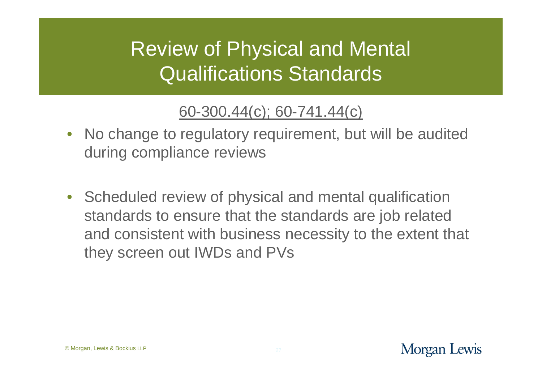### Review of Physical and Mental Qualifications Standards

### 60-300.44(c); 60-741.44(c)

- No change to regulatory requirement, but will be audited during compliance reviews
- Scheduled review of physical and mental qualification standards to ensure that the standards are job related and consistent with business necessity to the extent that they screen out IWDs and PVs

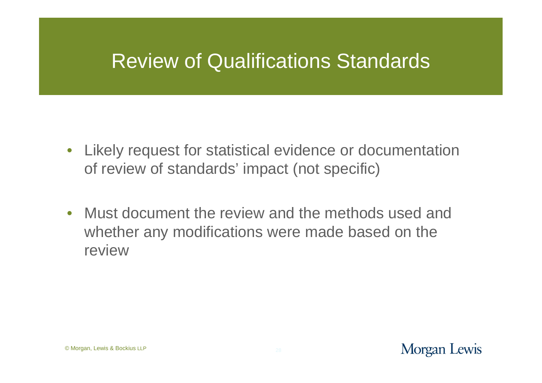### Review of Qualifications Standards

- Likely request for statistical evidence or documentation of review of standards' impact (not specific)
- Must document the review and the methods used and whether any modifications were made based on the review

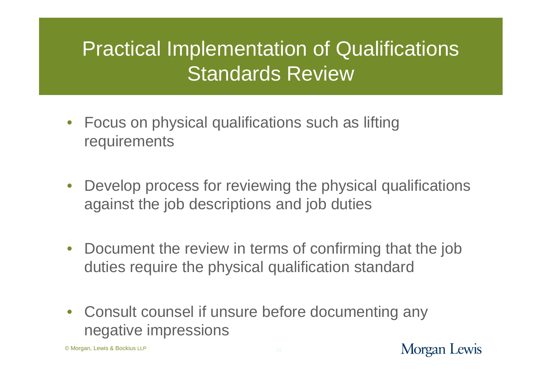## Practical Implementation of Qualifications Standards Review

- Focus on physical qualifications such as lifting **requirements**
- Develop process for reviewing the physical qualifications against the job descriptions and job duties
- Document the review in terms of confirming that the job duties require the physical qualification standard
- Consult counsel if unsure before documenting any negative impressions

© Morgan, Lewis & Bockius LLP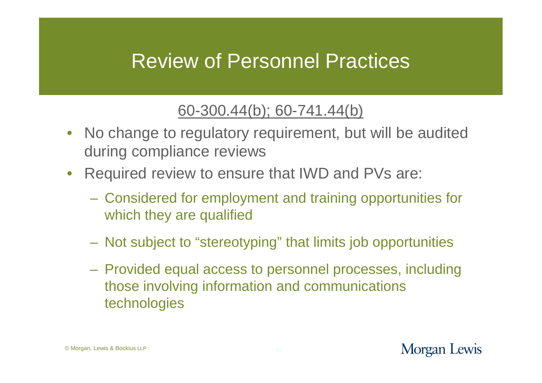### Review of Personnel Practices

#### 60-300.44(b); 60-741.44(b)

- No change to regulatory requirement, but will be audited during compliance reviews
- Required review to ensure that IWD and PVs are:
	- Considered for employment and training opportunities for which they are qualified
	- Not subject to "stereotyping" that limits job opportunities
	- Provided equal access to personnel processes, including those involving information and communications technologies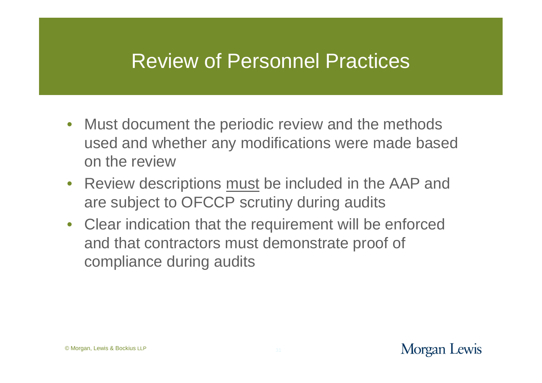### Review of Personnel Practices

- Must document the periodic review and the methods used and whether any modifications were made based on the review
- Review descriptions must be included in the AAP and are subject to OFCCP scrutiny during audits
- Clear indication that the requirement will be enforced and that contractors must demonstrate proof of compliance during audits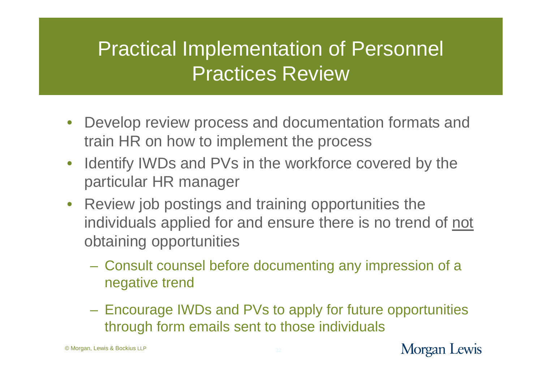### Practical Implementation of Personnel Practices Review

- Develop review process and documentation formats and train HR on how to implement the process
- Identify IWDs and PVs in the workforce covered by the particular HR manager
- Review job postings and training opportunities the individuals applied for and ensure there is no trend of not obtaining opportunities
	- Consult counsel before documenting any impression of a negative trend
	- Encourage IWDs and PVs to apply for future opportunities through form emails sent to those individuals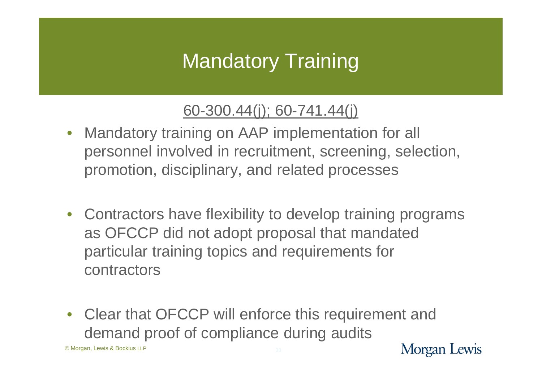# Mandatory Training

#### 60-300.44(j); 60-741.44(j)

- Mandatory training on AAP implementation for all personnel involved in recruitment, screening, selection, promotion, disciplinary, and related processes
- Contractors have flexibility to develop training programs as OFCCP did not adopt proposal that mandated particular training topics and requirements for contractors
- Clear that OFCCP will enforce this requirement and demand proof of compliance during audits

© Morgan, Lewis & Bockius LLP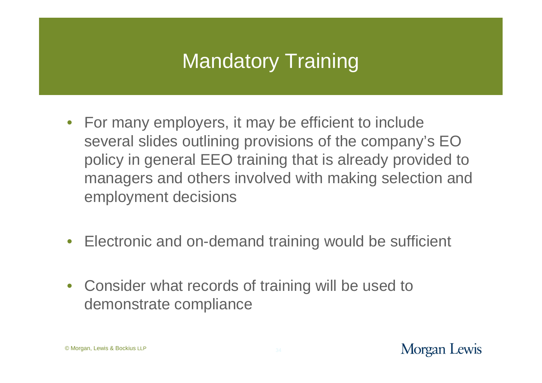# Mandatory Training

- For many employers, it may be efficient to include several slides outlining provisions of the company's EO policy in general EEO training that is already provided to managers and others involved with making selection and employment decisions
- Electronic and on-demand training would be sufficient
- Consider what records of training will be used to demonstrate compliance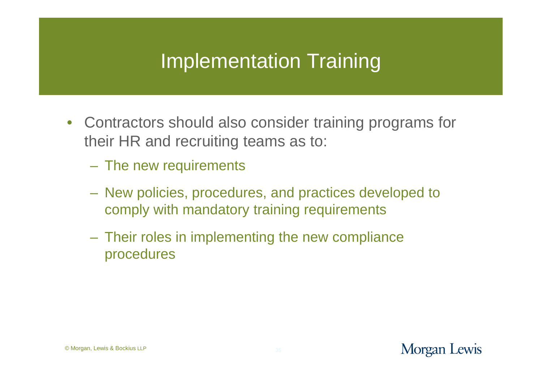## Implementation Training

- Contractors should also consider training programs for their HR and recruiting teams as to:
	- The new requirements
	- New policies, procedures, and practices developed to comply with mandatory training requirements
	- Their roles in implementing the new compliance procedures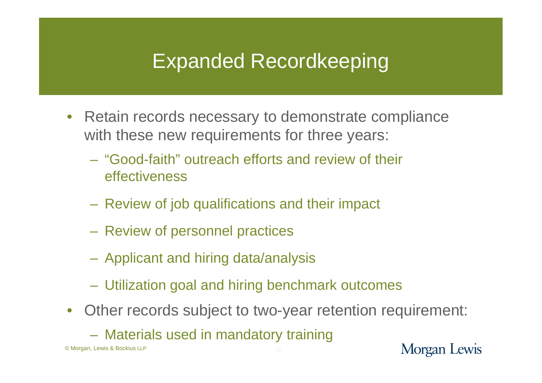### Expanded Recordkeeping

- Retain records necessary to demonstrate compliance with these new requirements for three years:
	- "Good-faith" outreach efforts and review of their effectiveness
	- Review of job qualifications and their impact
	- Review of personnel practices
	- Applicant and hiring data/analysis
	- Utilization goal and hiring benchmark outcomes
- Other records subject to two-year retention requirement:
	- Materials used in mandatory training

© Morgan, Lewis & Bockius LLP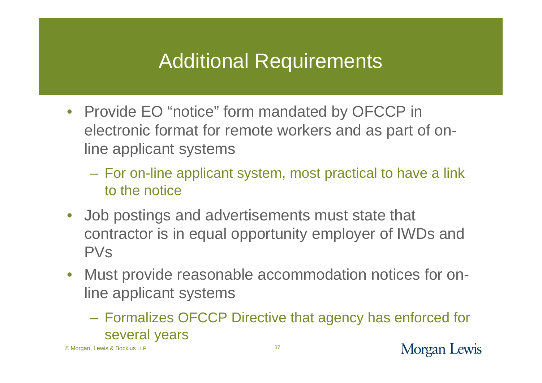### Additional Requirements

- Provide EO "notice" form mandated by OFCCP in electronic format for remote workers and as part of online applicant systems
	- For on-line applicant system, most practical to have a link to the notice
- Job postings and advertisements must state that contractor is in equal opportunity employer of IWDs and PVs
- Must provide reasonable accommodation notices for online applicant systems
	- Formalizes OFCCP Directive that agency has enforced for several years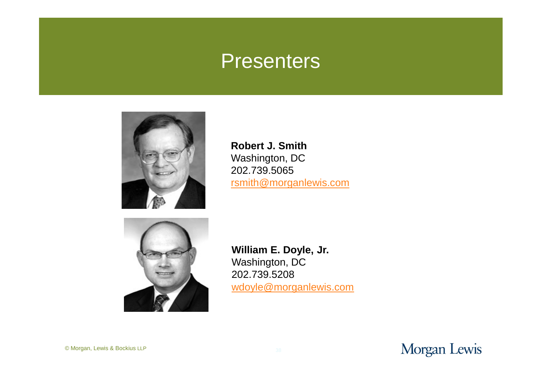### **Presenters**



**Robert J. Smith** Washington, DC 202.739.5065 [rsmith@morganlewis.com](mailto:rsmith@morganlewis.com)



**William E. Doyle, Jr.** Washington, DC 202.739.5208 [wdoyle@morganlewis.com](mailto:wdoyle@morganlewis.com)